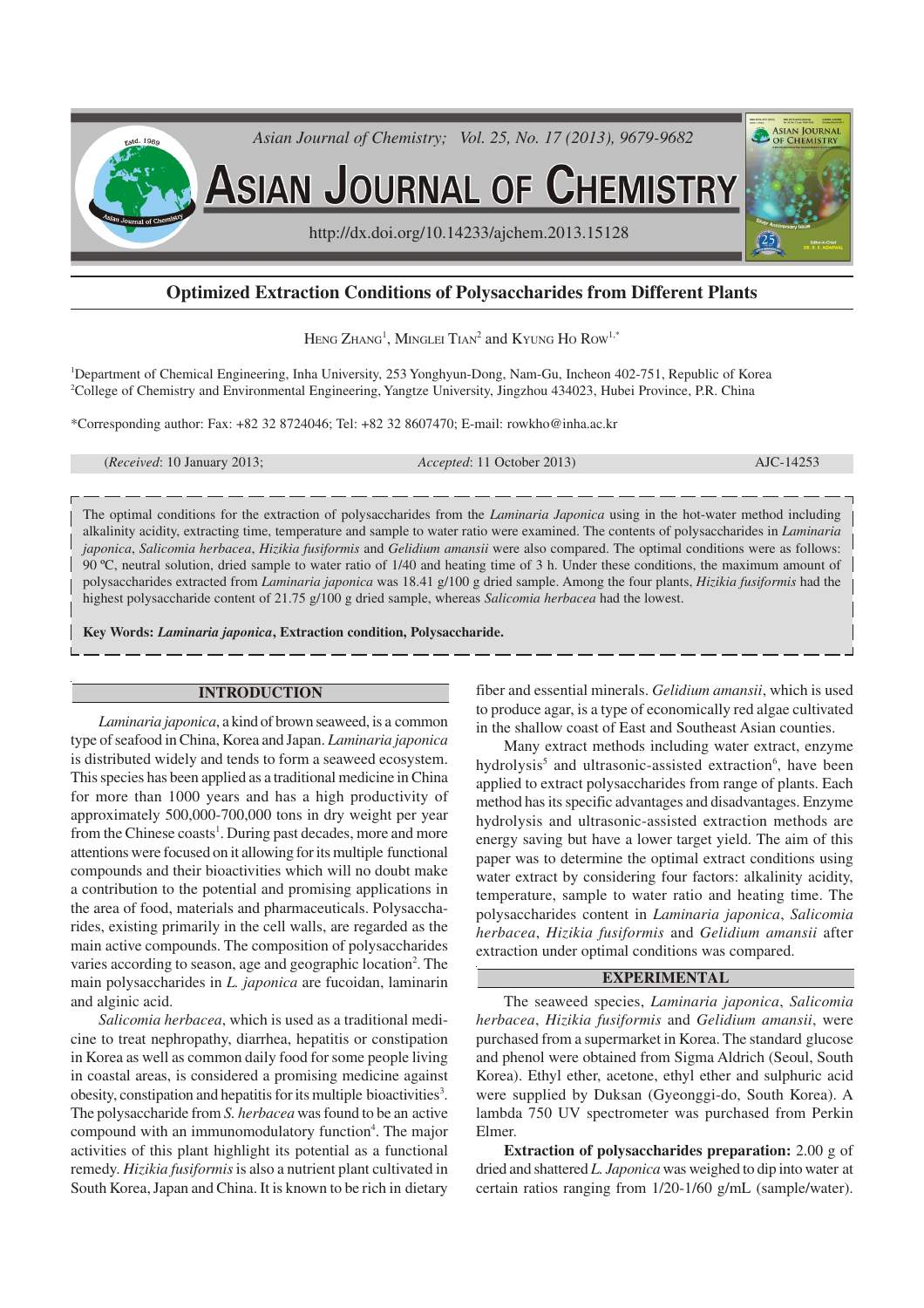

# **Optimized Extraction Conditions of Polysaccharides from Different Plants**

Heng Zhang<sup>1</sup>, Minglei Tian<sup>2</sup> and Kyung Ho Row<sup>1,\*</sup>

<sup>1</sup>Department of Chemical Engineering, Inha University, 253 Yonghyun-Dong, Nam-Gu, Incheon 402-751, Republic of Korea <sup>2</sup>College of Chemistry and Environmental Engineering, Yangtze University, Jingzhou 434023, Hubei Province, P.R. China

\*Corresponding author: Fax: +82 32 8724046; Tel: +82 32 8607470; E-mail: rowkho@inha.ac.kr

(*Received*: 10 January 2013; *Accepted*: 11 October 2013) AJC-14253

The optimal conditions for the extraction of polysaccharides from the *Laminaria Japonica* using in the hot-water method including alkalinity acidity, extracting time, temperature and sample to water ratio were examined. The contents of polysaccharides in *Laminaria japonica*, *Salicomia herbacea*, *Hizikia fusiformis* and *Gelidium amansii* were also compared. The optimal conditions were as follows: 90 ºC, neutral solution, dried sample to water ratio of 1/40 and heating time of 3 h. Under these conditions, the maximum amount of polysaccharides extracted from *Laminaria japonica* was 18.41 g/100 g dried sample. Among the four plants, *Hizikia fusiformis* had the highest polysaccharide content of 21.75 g/100 g dried sample, whereas *Salicomia herbacea* had the lowest.

**Key Words:** *Laminaria japonica***, Extraction condition, Polysaccharide.**

## **INTRODUCTION**

*Laminaria japonica*, a kind of brown seaweed, is a common type of seafood in China, Korea and Japan. *Laminaria japonica* is distributed widely and tends to form a seaweed ecosystem. This species has been applied as a traditional medicine in China for more than 1000 years and has a high productivity of approximately 500,000-700,000 tons in dry weight per year from the Chinese coasts<sup>1</sup>. During past decades, more and more attentions were focused on it allowing for its multiple functional compounds and their bioactivities which will no doubt make a contribution to the potential and promising applications in the area of food, materials and pharmaceuticals. Polysaccharides, existing primarily in the cell walls, are regarded as the main active compounds. The composition of polysaccharides varies according to season, age and geographic location<sup>2</sup>. The main polysaccharides in *L. japonica* are fucoidan, laminarin and alginic acid.

*Salicomia herbacea*, which is used as a traditional medicine to treat nephropathy, diarrhea, hepatitis or constipation in Korea as well as common daily food for some people living in coastal areas, is considered a promising medicine against obesity, constipation and hepatitis for its multiple bioactivities<sup>3</sup>. The polysaccharide from *S. herbacea* was found to be an active compound with an immunomodulatory function<sup>4</sup>. The major activities of this plant highlight its potential as a functional remedy. *Hizikia fusiformis* is also a nutrient plant cultivated in South Korea, Japan and China. It is known to be rich in dietary

fiber and essential minerals. *Gelidium amansii*, which is used to produce agar, is a type of economically red algae cultivated in the shallow coast of East and Southeast Asian counties.

Many extract methods including water extract, enzyme hydrolysis<sup>5</sup> and ultrasonic-assisted extraction<sup>6</sup>, have been applied to extract polysaccharides from range of plants. Each method has its specific advantages and disadvantages. Enzyme hydrolysis and ultrasonic-assisted extraction methods are energy saving but have a lower target yield. The aim of this paper was to determine the optimal extract conditions using water extract by considering four factors: alkalinity acidity, temperature, sample to water ratio and heating time. The polysaccharides content in *Laminaria japonica*, *Salicomia herbacea*, *Hizikia fusiformis* and *Gelidium amansii* after extraction under optimal conditions was compared.

#### **EXPERIMENTAL**

The seaweed species, *Laminaria japonica*, *Salicomia herbacea*, *Hizikia fusiformis* and *Gelidium amansii*, were purchased from a supermarket in Korea. The standard glucose and phenol were obtained from Sigma Aldrich (Seoul, South Korea). Ethyl ether, acetone, ethyl ether and sulphuric acid were supplied by Duksan (Gyeonggi-do, South Korea). A lambda 750 UV spectrometer was purchased from Perkin Elmer.

**Extraction of polysaccharides preparation:** 2.00 g of dried and shattered *L. Japonica* was weighed to dip into water at certain ratios ranging from 1/20-1/60 g/mL (sample/water).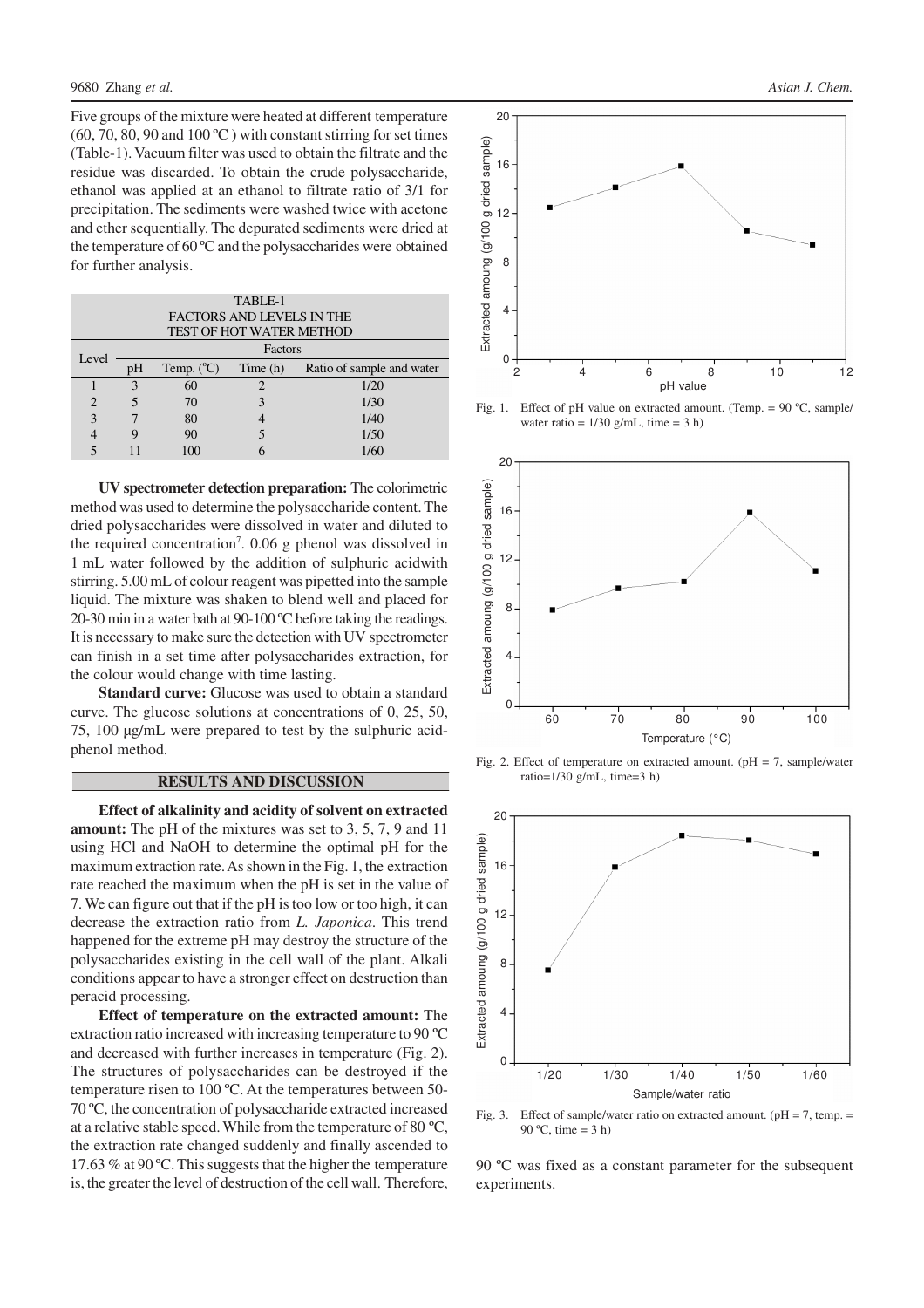Five groups of the mixture were heated at different temperature  $(60, 70, 80, 90, 4100^{\circ}$  C ) with constant stirring for set times (Table-1). Vacuum filter was used to obtain the filtrate and the residue was discarded. To obtain the crude polysaccharide, ethanol was applied at an ethanol to filtrate ratio of 3/1 for precipitation. The sediments were washed twice with acetone and ether sequentially. The depurated sediments were dried at the temperature of 60 ºC and the polysaccharides were obtained for further analysis.

| TABLE-1                          |         |                     |          |                           |
|----------------------------------|---------|---------------------|----------|---------------------------|
| <b>FACTORS AND LEVELS IN THE</b> |         |                     |          |                           |
| <b>TEST OF HOT WATER METHOD</b>  |         |                     |          |                           |
| Level                            | Factors |                     |          |                           |
|                                  | pΗ      | Temp. $(^{\circ}C)$ | Time (h) | Ratio of sample and water |
|                                  | 3       | 60                  |          | 1/20                      |
| $\overline{2}$                   |         | 70                  |          | 1/30                      |
| 3                                |         | 80                  |          | 1/40                      |
|                                  | 9       | 90                  |          | 1/50                      |
|                                  |         | $\Omega$            |          | 1/60                      |

**UV spectrometer detection preparation:** The colorimetric method was used to determine the polysaccharide content. The dried polysaccharides were dissolved in water and diluted to the required concentration<sup>7</sup>. 0.06 g phenol was dissolved in 1 mL water followed by the addition of sulphuric acidwith stirring. 5.00 mL of colour reagent was pipetted into the sample liquid. The mixture was shaken to blend well and placed for 20-30 min in a water bath at 90-100 ºC before taking the readings. It is necessary to make sure the detection with UV spectrometer can finish in a set time after polysaccharides extraction, for the colour would change with time lasting.

**Standard curve:** Glucose was used to obtain a standard curve. The glucose solutions at concentrations of 0, 25, 50, 75, 100 µg/mL were prepared to test by the sulphuric acidphenol method.

### **RESULTS AND DISCUSSION**

**Effect of alkalinity and acidity of solvent on extracted amount:** The pH of the mixtures was set to 3, 5, 7, 9 and 11 using HCl and NaOH to determine the optimal pH for the maximum extraction rate. As shown in the Fig. 1, the extraction rate reached the maximum when the pH is set in the value of 7. We can figure out that if the pH is too low or too high, it can decrease the extraction ratio from *L. Japonica*. This trend happened for the extreme pH may destroy the structure of the polysaccharides existing in the cell wall of the plant. Alkali conditions appear to have a stronger effect on destruction than peracid processing.

**Effect of temperature on the extracted amount:** The extraction ratio increased with increasing temperature to 90 ºC and decreased with further increases in temperature (Fig. 2). The structures of polysaccharides can be destroyed if the temperature risen to 100 ºC. At the temperatures between 50- 70 ºC, the concentration of polysaccharide extracted increased at a relative stable speed. While from the temperature of 80 ºC, the extraction rate changed suddenly and finally ascended to 17.63 % at 90 ºC. This suggests that the higher the temperature is, the greater the level of destruction of the cell wall. Therefore,



Fig. 1. Effect of pH value on extracted amount. (Temp. =  $90^{\circ}$ C, sample/ water ratio =  $1/30$  g/mL, time = 3 h)



Fig. 2. Effect of temperature on extracted amount. ( $pH = 7$ , sample/water ratio= $1/30$  g/mL, time= $3$  h)



Fig. 3. Effect of sample/water ratio on extracted amount. ( $pH = 7$ , temp. = 90 °C, time =  $3 h$ )

90 ºC was fixed as a constant parameter for the subsequent experiments.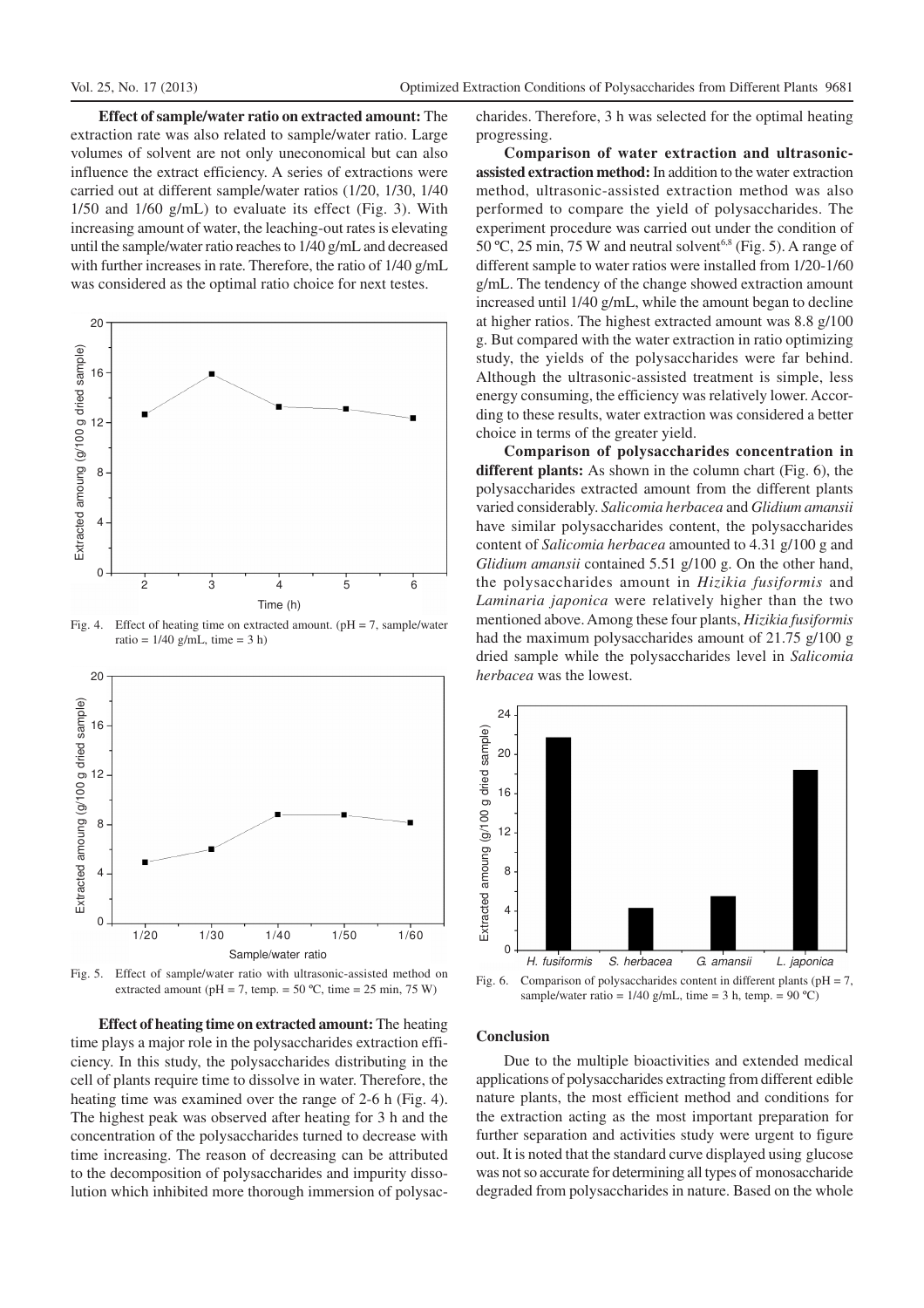**Effect of sample/water ratio on extracted amount:** The extraction rate was also related to sample/water ratio. Large volumes of solvent are not only uneconomical but can also influence the extract efficiency. A series of extractions were carried out at different sample/water ratios (1/20, 1/30, 1/40 1/50 and 1/60 g/mL) to evaluate its effect (Fig. 3). With increasing amount of water, the leaching-out rates is elevating until the sample/water ratio reaches to 1/40 g/mL and decreased with further increases in rate. Therefore, the ratio of 1/40 g/mL was considered as the optimal ratio choice for next testes.



Fig. 4. Effect of heating time on extracted amount. ( $pH = 7$ , sample/water ratio =  $1/40$  g/mL, time = 3 h)



Fig. 5. Effect of sample/water ratio with ultrasonic-assisted method on extracted amount (pH = 7, temp. =  $50^{\circ}$ C, time =  $25 \text{ min}$ ,  $75 \text{ W}$ )

**Effect of heating time on extracted amount:** The heating time plays a major role in the polysaccharides extraction efficiency. In this study, the polysaccharides distributing in the cell of plants require time to dissolve in water. Therefore, the heating time was examined over the range of 2-6 h (Fig. 4). The highest peak was observed after heating for 3 h and the concentration of the polysaccharides turned to decrease with time increasing. The reason of decreasing can be attributed to the decomposition of polysaccharides and impurity dissolution which inhibited more thorough immersion of polysaccharides. Therefore, 3 h was selected for the optimal heating progressing.

**Comparison of water extraction and ultrasonicassisted extraction method:** In addition to the water extraction method, ultrasonic-assisted extraction method was also performed to compare the yield of polysaccharides. The experiment procedure was carried out under the condition of  $50^{\circ}$ C, 25 min, 75 W and neutral solvent<sup>6,8</sup> (Fig. 5). A range of different sample to water ratios were installed from 1/20-1/60 g/mL. The tendency of the change showed extraction amount increased until 1/40 g/mL, while the amount began to decline at higher ratios. The highest extracted amount was 8.8 g/100 g. But compared with the water extraction in ratio optimizing study, the yields of the polysaccharides were far behind. Although the ultrasonic-assisted treatment is simple, less energy consuming, the efficiency was relatively lower. According to these results, water extraction was considered a better choice in terms of the greater yield.

**Comparison of polysaccharides concentration in different plants:** As shown in the column chart (Fig. 6), the polysaccharides extracted amount from the different plants varied considerably. *Salicomia herbacea* and *Glidium amansii* have similar polysaccharides content, the polysaccharides content of *Salicomia herbacea* amounted to 4.31 g/100 g and *Glidium amansii* contained 5.51 g/100 g. On the other hand, the polysaccharides amount in *Hizikia fusiformis* and *Laminaria japonica* were relatively higher than the two mentioned above. Among these four plants, *Hizikia fusiformis* had the maximum polysaccharides amount of 21.75 g/100 g dried sample while the polysaccharides level in *Salicomia herbacea* was the lowest.



Fig. 6. Comparison of polysaccharides content in different plants ( $pH = 7$ , sample/water ratio =  $1/40$  g/mL, time = 3 h, temp. =  $90 °C$ )

#### **Conclusion**

Due to the multiple bioactivities and extended medical applications of polysaccharides extracting from different edible nature plants, the most efficient method and conditions for the extraction acting as the most important preparation for further separation and activities study were urgent to figure out. It is noted that the standard curve displayed using glucose was not so accurate for determining all types of monosaccharide degraded from polysaccharides in nature. Based on the whole